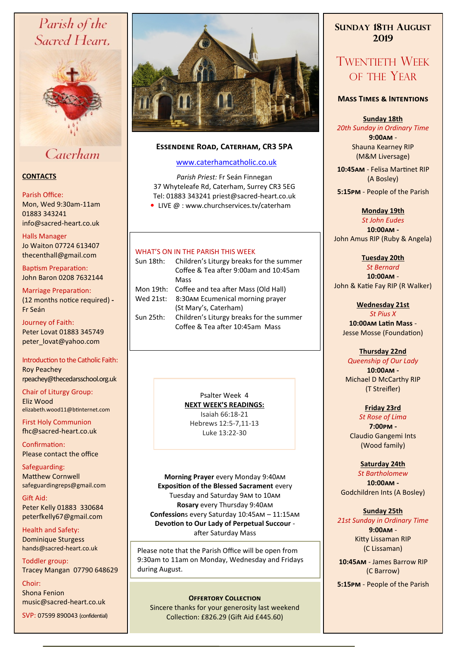# Parish of the Sacred Heart,



# Caterham

# **CONTACTS**

## Parish Office:

Mon, Wed 9:30am-11am 01883 343241 info@sacred-heart.co.uk .

## Halls Manager

Jo Waiton 07724 613407 thecenthall@gmail.com

Baptism Preparation: John Baron 0208 7632144

#### Marriage Preparation: (12 months notice required) **-** Fr Seán

Journey of Faith: Peter Lovat 01883 345749 peter\_lovat@yahoo.com

Introduction to the Catholic Faith: Roy Peachey rpeachey@thecedarsschool.org.uk

Chair of Liturgy Group: Eliz Wood elizabeth.wood11@btinternet.com

First Holy Communion fhc@sacred-heart.co.uk

Confirmation: Please contact the office

Safeguarding: Matthew Cornwell safeguardingreps@gmail.com

Gift Aid: Peter Kelly 01883 330684 peterfkelly67@gmail.com

Health and Safety: Dominique Sturgess hands@sacred-heart.co.uk

Toddler group: Tracey Mangan 07790 648629

Choir: Shona Fenion music@sacred-heart.co.uk

SVP: 07599 890043 (confidential)



# **Essendene Road, Caterham, CR3 5PA**

## [www.caterhamcatholic.co.uk](http://Www.caterhamcatholic.co.uk)

*Parish Priest:* Fr Seán Finnegan 37 Whyteleafe Rd, Caterham, Surrey CR3 5EG Tel: 01883 343241 priest@sacred-heart.co.uk ● LIVE @ : www.churchservices.tv/caterham

# WHAT'S ON IN THE PARISH THIS WEEK.

| Sun 18th: | Children's Liturgy breaks for the summer   |
|-----------|--------------------------------------------|
|           | Coffee & Tea after 9:00am and 10:45am      |
|           | Mass                                       |
| Mon 19th: | Coffee and tea after Mass (Old Hall)       |
|           | Wed 21st: 8:30AM Ecumenical morning prayer |
|           | (St Mary's, Caterham)                      |
| Sun 25th: | Children's Liturgy breaks for the summer   |
|           | Coffee & Tea after 10:45am Mass            |
|           |                                            |

Psalter Week 4 **NEXT WEEK'S READINGS:**  Isaiah 66:18-21 Hebrews 12:5-7,11-13 Luke 13:22-30

**Morning Prayer** every Monday 9:40am **Exposition of the Blessed Sacrament** every Tuesday and Saturday 9am to 10am **Rosary** every Thursday 9:40am **Confession**s every Saturday 10:45am – 11:15am **Devotion to Our Lady of Perpetual Succour**  after Saturday Mass

Please note that the Parish Office will be open from 9:30am to 11am on Monday, Wednesday and Fridays during August.

# **OFFERTORY COLLECTION**

Sincere thanks for your generosity last weekend Collection: £826.29 (Gift Aid £445.60)

# **SUNDAY 18TH AUGUST 2019**

# TWENTIETH WEEK OF THE YEAR

# **Mass Times & Intentions**

**Sunday 18th**

*20th Sunday in Ordinary Time* **9:00am** - Shauna Kearney RIP (M&M Liversage)

.**10:45am** - Felisa Martinet RIP (A Bosley)

.**5:15pm** - People of the Parish

#### **Monday 19th** *St John Eudes*

**10:00am -**  John Amus RIP (Ruby & Angela)

**Tuesday 20th** *St Bernard*

**10:00am** - John & Katie Fay RIP (R Walker)

#### **Wednesday 21st** *St Pius X*

**10:00am Latin Mass** - Jesse Mosse (Foundation)

# **Thursday 22nd**

*Queenship of Our Lady* **10:00am -**  Michael D McCarthy RIP (T Streifler)

# **Friday 23rd**

*St Rose of Lima* **7:00pm -** Claudio Gangemi Ints (Wood family)

# **Saturday 24th**

*St Bartholomew* **10:00am -**  Godchildren Ints (A Bosley)

# **Sunday 25th**

*21st Sunday in Ordinary Time* **9:00am** - Kitty Lissaman RIP (C Lissaman)

.**10:45am** - James Barrow RIP (C Barrow)

.**5:15pm** - People of the Parish